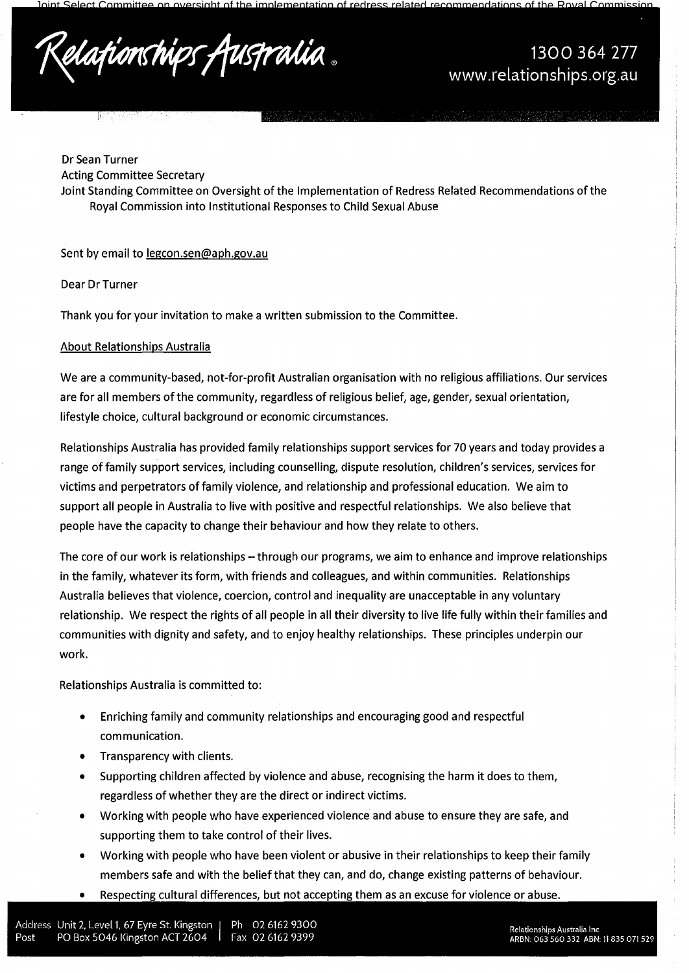Dr Sean Turner Acting Committee Secretary Joint Standing Committee on Oversight of the Implementation of Redress Related Recommendations of the Royal Commission into Institutional Responses to Child Sexual Abuse

# Sent by email to legcon.sen@aph.gov.au

Dear Dr Turner

Thank you for your invitation to make a written submission to the Committee.

# About Relationships Australia

ਪ੍ਰੀਤਰਾਸ

We are a community-based, not-for-profit Australian organisation with no religious affiliations. Our services are for all members of the community, regardless of religious belief, age, gender, sexual orientation, lifestyle choice, cultural background or economic circumstances.

Relationships Australia has provided family relationships support services for 70 years and today provides a range of family support services, including counselling, dispute resolution, children's services, services for victims and perpetrators of family violence, and relationship and professional education. We aim to support all people in Australia to live with positive and respectful relationships. We also believe that people have the capacity to change their behaviour and how they relate to others.

The core of our work is relationships -- through our programs, we aim to enhance and improve relationships in the family, whatever its form, with friends and colleagues, and within communities. Relationships Australia believes that violence, coercion, control and inequality are unacceptable in any voluntary relationship. We respect the rights of all people in all their diversity to live life fully within their families and communities with dignity and safety, and to enjoy healthy relationships. These principles underpin our work.

Relationships Australia is committed to:

- Enriching family and community relationships and encouraging good and respectful communication.
- Transparency with clients.
- Supporting children affected by violence and abuse, recognising the harm it does to them, regardless of whether they are the direct or indirect victims.
- Working with people who have experienced violence and abuse to ensure they are safe, and supporting them to take control of their lives.
- Working with people who have been violent or abusive in their relationships to keep their family members safe and with the belief that they can, and do, change existing patterns of behaviour.
- Respecting cultural differences, but not accepting them as an excuse for violence or abuse.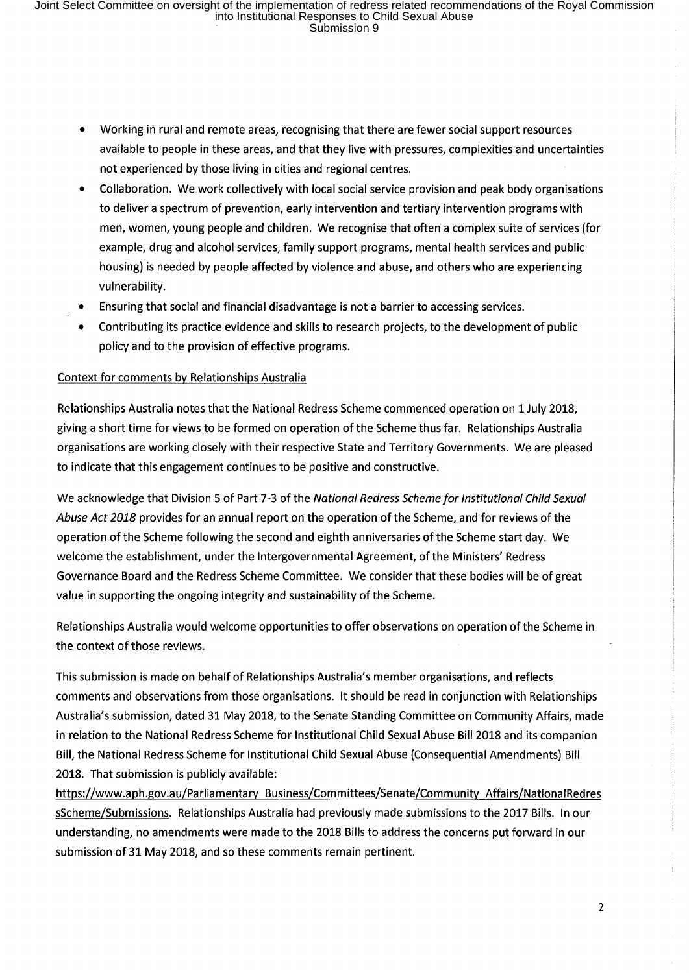- Working in rural and remote areas, recognising that there are fewer social support resources available to people in these areas, and that they live with pressures, complexities and uncertainties not experienced by those living in cities and regional centres.
- Collaboration. We work collectively with local social service provision and peak body organisations to deliver a spectrum of prevention, early intervention and tertiary intervention programs with men, women, young people and children. We recognise that often a complex suite of services (for example, drug and alcohol services, family support programs, mental health services and public housing) is needed by people affected by violence and abuse, and others who are experiencing vulnerability.
- Ensuring that social and financial disadvantage is not a barrier to accessing services.
- Contributing its practice evidence and skills to research projects, to the development of public policy and to the provision of effective programs.

# Context for comments by Relationships Australia

Relationships Australia notes that the National Redress Scheme commenced operation on 1 July 2018, giving a short time for views to be formed on operation of the Scheme thus far. Relationships Australia organisations are working closely with their respective State and Territory Governments. We are pleased to indicate that this engagement continues to be positive and constructive.

We acknowledge that Division 5 of Part 7-3 of the National Redress Scheme for Institutional Child Sexual Abuse Act 2018 provides for an annual report on the operation of the Scheme, and for reviews of the operation of the Scheme following the second and eighth anniversaries of the Scheme start day. We welcome the establishment, under the Intergovernmental Agreement, ofthe Ministers' Redress Governance Board and the Redress Scheme Committee. We consider that these bodies will be of great value in supporting the ongoing integrity and sustainability of the Scheme.

Relationships Australia would welcome opportunities to offer observations on operation of the Scheme in the context of those reviews.

This submission is made on behalf of Relationships Australia's member organisations, and reflects comments and observations from those organisations. It should be read in conjunction with Relationships Australia's submission, dated 31 May 2018, to the Senate Standing Committee on Community Affairs, made in relation to the National Redress Scheme for Institutional Child Sexual Abuse Bill 2018 and its companion Bill, the National Redress Scheme for Institutional Child Sexual Abuse (Consequential Amendments) Bill 2018. That submission is publicly available:

https://www.aph.gov.au/Parliamentary Business/Committees/Senate/Community Affairs/NationalRedres sScheme/Submissions. Relationships Australia had previously made submissions to the 2017 Bills. In our understanding, no amendments were made to the 2018 Bills to address the concerns put forward in our submission of 31 May 2018, and so these comments remain pertinent.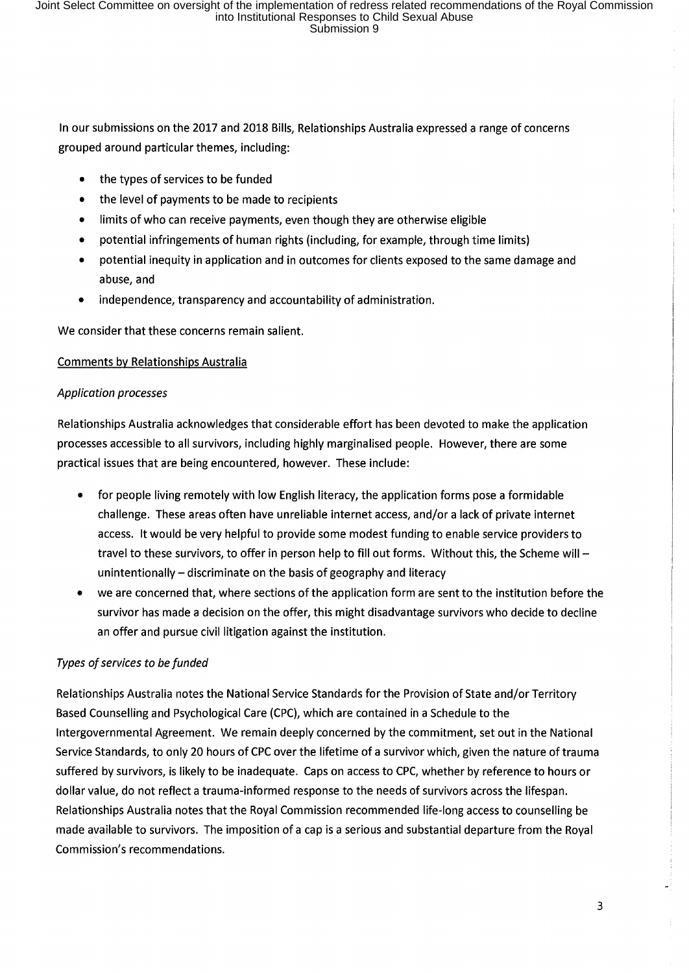In our submissions on the 2017 and 2018 Bills, Relationships Australia expressed a range of concerns grouped around particular themes, including:

- the types of services to be funded
- the level of payments to be made to recipients
- limits of who can receive payments, even though they are otherwise eligible
- potential infringements of human rights (including, for example, through time limits)
- potential inequity in application and in outcomes for clients exposed to the same damage and abuse, and
- independence, transparency and accountability of administration.

We consider that these concerns remain salient.

## Comments by Relationships Australia

## *Application processes*

Relationships Australia acknowledges that considerable effort has been devoted to make the application processes accessible to all survivors, including highly marginalised people. However, there are some practical issues that are being encountered, however. These include:

- for people living remotely with low English literacy, the application forms pose a formidable challenge. These areas often have unreliable internet access, and/or a lack of private internet access. It would be very helpful to provide some modest funding to enable service providers to travel to these survivors, to offer in person help to fill out forms. Without this, the Scheme will unintentionally – discriminate on the basis of geography and literacy
- we are concerned that, where sections of the application form are sent to the institution before the survivor has made a decision on the offer, this might disadvantage survivors who decide to decline an offer and pursue civil litigation against the institution.

## *Types of services to be funded*

Relationships Australia notes the National Service Standards for the Provision of State and/or Territory Based Counselling and Psychological Care (CPC), which are contained in a Schedule to the Intergovernmental Agreement. We remain deeply concerned by the commitment, set out in the National Service Standards, to only 20 hours of CPC over the lifetime of a survivor which, given the nature of trauma suffered by survivors, is likely to be inadequate. Caps on access to CPC, whether by reference to hours or dollar value, do not reflect a trauma-informed response to the needs of survivors across the lifespan. Relationships Australia notes that the Royal Commission recommended life-long access to counselling be made available to survivors. The imposition of a cap is a serious and substantial departure from the Royal Commission's recommendations.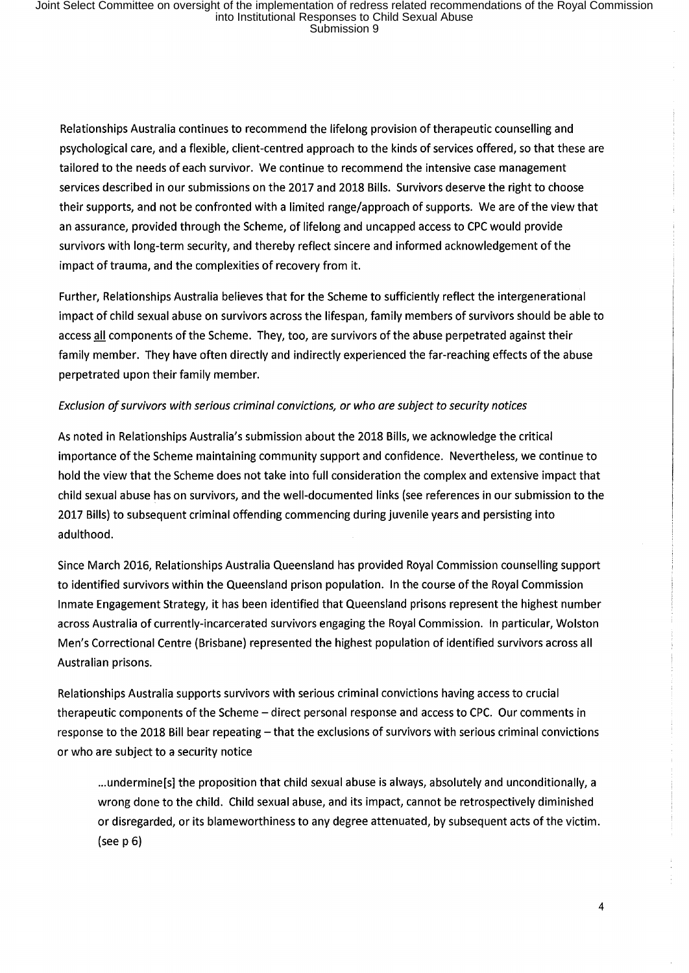Relationships Australia continues to recommend the lifelong provision of therapeutic counselling and psychological care, and a flexible, client-centred approach to the kinds of services offered, so that these are tailored to the needs of each survivor. We continue to recommend the intensive case management services described in our submissions on the 2017 and 2018 Bills. Survivors deserve the right to choose their supports, and not be confronted with a limited range/approach of supports. We are of the view that an assurance, provided through the Scheme, of lifelong and uncapped access to CPC would provide survivors with long-term security, and thereby reflect sincere and informed acknowledgement of the impact of trauma, and the complexities of recovery from it.

Further, Relationships Australia believes that for the Scheme to sufficiently reflect the intergenerational impact of child sexual abuse on survivors across the lifespan, family members of survivors should be able to access all components of the Scheme. They, too, are survivors of the abuse perpetrated against their family member. They have often directly and indirectly experienced the far-reaching effects of the abuse perpetrated upon their family member.

### *Exclusion of survivors with serious criminal convictions, or who are subject to security notices*

As noted in Relationships Australia's submission about the 2018 Bills, we acknowledge the critical importance of the Scheme maintaining community support and confidence. Nevertheless, we continue to hold the view that the Scheme does not take into full consideration the complex and extensive impact that child sexual abuse has on survivors, and the well-documented links (see references in our submission to the 2017 Bills) to subsequent criminal offending commencing during juvenile years and persisting into adulthood.

Since March 2016, Relationships Australia Queensland has provided Royal Commission counselling support to identified survivors within the Queensland prison population. In the course of the Royal Commission Inmate Engagement Strategy, it has been identified that Queensland prisons represent the highest number across Australia of currently-incarcerated survivors engaging the Royal Commission. In particular, Wolston Men's Correctional Centre (Brisbane) represented the highest population of identified survivors across all Australian prisons.

Relationships Australia supports survivors with serious criminal convictions having access to crucial therapeutic components of the Scheme - direct personal response and access to CPC. Our comments in response to the 2018 Bill bear repeating - that the exclusions of survivors with serious criminal convictions or who are subject to a security notice

... undermine[s] the proposition that child sexual abuse is always, absolutely and unconditionally, a wrong done to the child. Child sexual abuse, and its impact, cannot be retrospectively diminished or disregarded, or its blameworthiness to any degree attenuated, by subsequent acts of the victim. (see  $p$  6)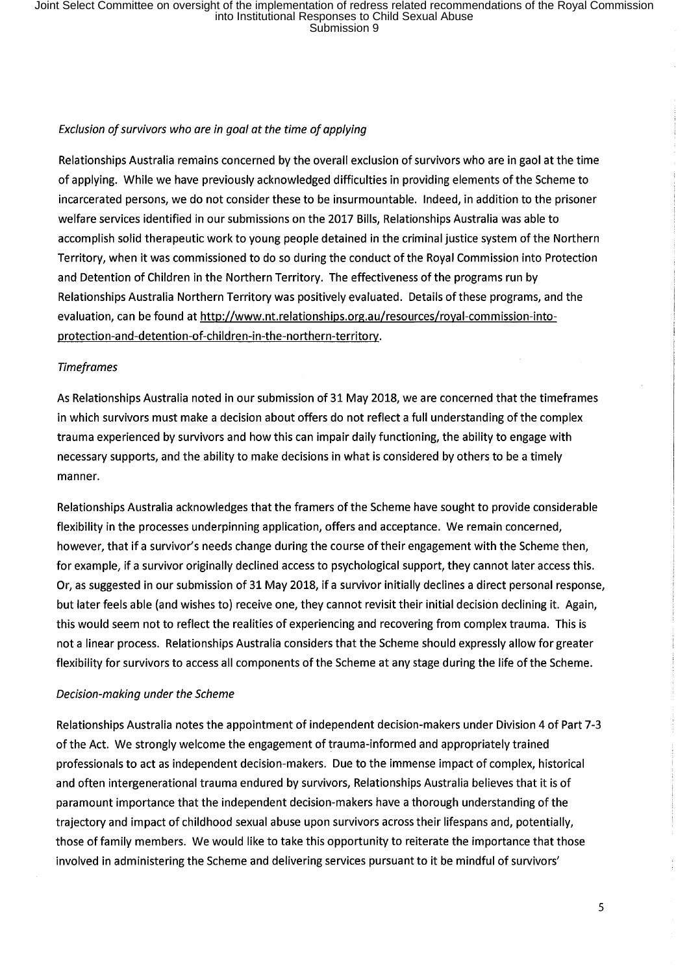### Exclusion of survivors who are in goal at the time of applying

Relationships Australia remains concerned by the overall exclusion of survivors who are in gaol at the time of applying. While we have previously acknowledged difficulties in providing elements of the Scheme to incarcerated persons, we do not consider these to be insurmountable. Indeed, in addition to the prisoner welfare services identified in our submissions on the 2017 Bills, Relationships Australia was able to accomplish solid therapeutic work to young people detained in the criminal justice system of the Northern Territory, when it was commissioned to do so during the conduct of the Royal Commission into Protection and Detention of Children in the Northern Territory. The effectiveness of the programs run by Relationships Australia Northern Territory was positively evaluated. Details of these programs, and the evaluation, can be found at http://www.nt.relationships.org.au/resources/royal-commission-intoprotection-and-detention-of-children-in-the-northern-territory.

### **Timeframes**

As Relationships Australia noted in our submission of 31 May 2018, we are concerned that the timeframes in which survivors must make a decision about offers do not reflect a full understanding of the complex trauma experienced by survivors and how this can impair daily functioning, the ability to engage with necessary supports, and the ability to make decisions in what is considered by others to be a timely manner.

Relationships Australia acknowledges that the framers of the Scheme have sought to provide considerable flexibility in the processes underpinning application, offers and acceptance. We remain concerned, however, that if a survivor's needs change during the course of their engagement with the Scheme then, for example, if a survivor originally declined access to psychological support, they cannot later access this. Or, as suggested in our submission of 31 May 2018, if a survivor initially declines a direct personal response, but later feels able (and wishes to) receive one, they cannot revisit their initial decision declining it. Again, this would seem not to reflect the realities of experiencing and recovering from complex trauma. This is not a linear process. Relationships Australia considers that the Scheme should expressly allow for greater flexibility for survivors to access all components of the Scheme at any stage during the life of the Scheme.

#### Decision-making under the Scheme

Relationships Australia notes the appointment of independent decision-makers under Division 4 of Part 7-3 of the Act. We strongly welcome the engagement of trauma-informed and appropriately trained professionals to act as independent decision-makers. Due to the immense impact of complex, historical and often intergenerational trauma endured by survivors, Relationships Australia believes that it is of paramount importance that the independent decision-makers have a thorough understanding of the trajectory and impact of childhood sexual abuse upon survivors across their lifespans and, potentially, those of family members. We would like to take this opportunity to reiterate the importance that those involved in administering the Scheme and delivering services pursuant to it be mindful of survivors'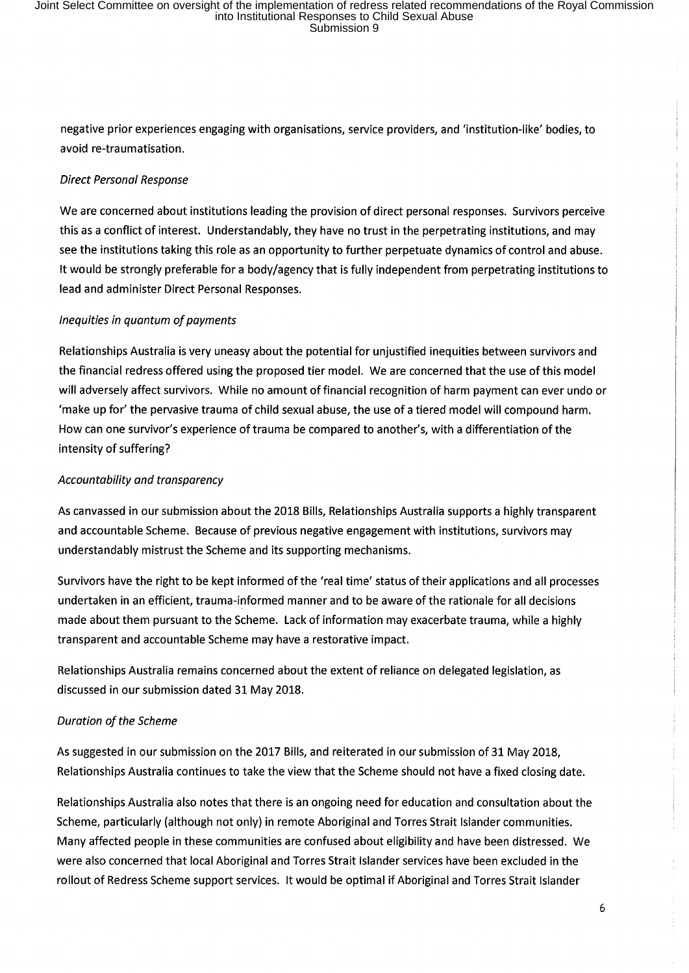negative prior experiences engaging with organisations, service providers, and 'institution-like' bodies, to avoid re-traumatisation.

# *Direct Personal Response*

We are concerned about institutions leading the provision of direct personal responses. Survivors perceive this as a conflict of interest. Understandably, they have no trust in the perpetrating institutions, and may see the institutions taking this role as an opportunity to further perpetuate dynamics of control and abuse. It would be strongly preferable for a body/agency that is fully independent from perpetrating institutions to lead and administer Direct Personal Responses.

# *Inequities in quantum of payments*

Relationships Australia is very uneasy about the potential for unjustified inequities between survivors and the financial redress offered using the proposed tier model. We are concerned that the use of this model will adversely affect survivors. While no amount of financial recognition of harm payment can ever undo or 'make up for' the pervasive trauma of child sexual abuse, the use of a tiered model will compound harm. How can one survivor's experience of trauma be compared to another's, with a differentiation of the intensity of suffering?

# *Accountability and transparency*

As canvassed in our submission about the 2018 Bills, Relationships Australia supports a highly transparent and accountable Scheme. Because of previous negative engagement with institutions, survivors may understandably mistrust the Scheme and its supporting mechanisms.

Survivors have the right to be kept informed of the 'real time' status of their applications and all processes undertaken in an efficient, trauma-informed manner and to be aware of the rationale for all decisions made about them pursuant to the Scheme. Lack of information may exacerbate trauma, while a highly transparent and accountable Scheme may have a restorative impact.

Relationships Australia remains concerned about the extent of reliance on delegated legislation, as discussed in our submission dated 31 May 2018.

## *Duration of the Scheme*

As suggested in our submission on the 2017 Bills, and reiterated in our submission of 31 May 2018, Relationships Australia continues to take the view that the Scheme should not have a fixed closing date.

Relationships Australia also notes that there is an ongoing need for education and consultation about the Scheme, particularly (although not only) in remote Aboriginal and Torres Strait Islander communities. Many affected people in these communities are confused about eligibility and have been distressed. We were also concerned that local Aboriginal and Torres Strait Islander services have been excluded in the rollout of Redress Scheme support services. It would be optimal if Aboriginal and Torres Strait Islander